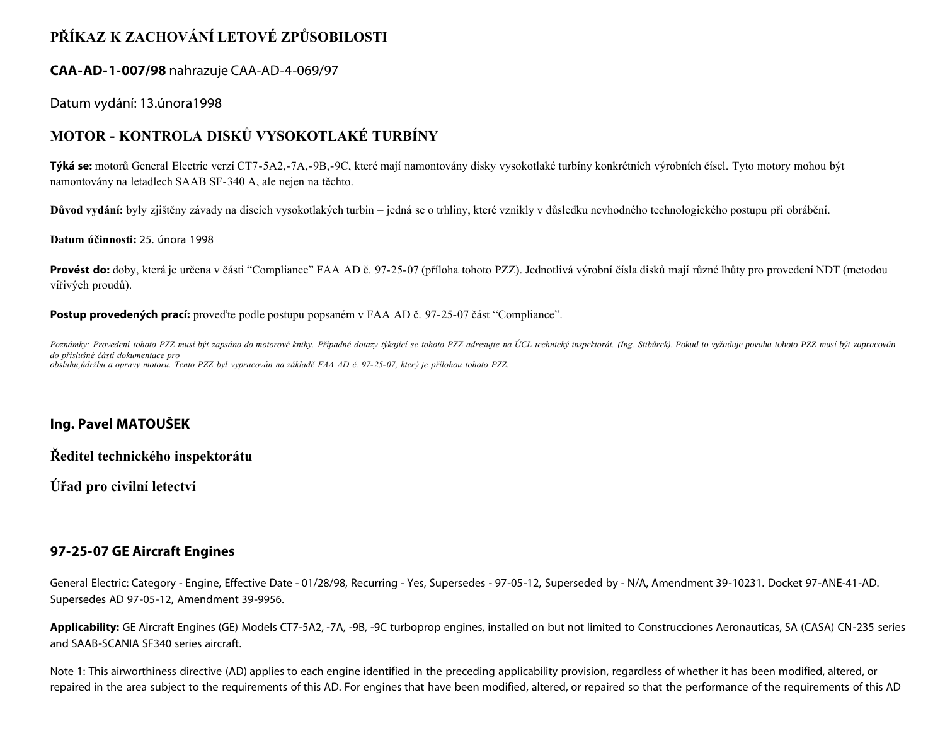# **PŘÍKAZ K ZACHOVÁNÍ LETOVÉ ZPŮSOBILOSTI**

### **CAA-AD-1-007/98** nahrazuje CAA-AD-4-069/97

### Datum vydání: 13.února1998

## **MOTOR - KONTROLA DISKŮ VYSOKOTLAKÉ TURBÍNY**

**Týká se:** motorů General Electric verzí CT7-5A2,-7A,-9B,-9C, které mají namontovány disky vysokotlaké turbíny konkrétních výrobních čísel. Tyto motory mohou být namontovány na letadlech SAAB SF-340 A, ale nejen na těchto.

**Důvod vydání:** byly zjištěny závady na discích vysokotlakých turbin – jedná se o trhliny, které vznikly v důsledku nevhodného technologického postupu při obrábění.

**Datum účinnosti:** 25. února 1998

**Provést do:** doby, která je určena v části "Compliance" FAA AD č. 97-25-07 (příloha tohoto PZZ). Jednotlivá výrobní čísla disků mají různé lhůty pro provedení NDT (metodou vířivých proudů).

**Postup provedených prací:** proveďte podle postupu popsaném v FAA AD č. 97-25-07 část "Compliance".

Poznámky: Provedení tohoto PZZ musí být zapsáno do motorové knihy. Případné dotazy týkající se tohoto PZZ adresujte na ÚCL technický inspektorát. (Ing. Stibůrek). Pokud to vyžaduje povaha tohoto PZZ musí být zapracován *do příslušné části dokumentace pro obsluhu,údržbu a opravy motoru. Tento PZZ byl vypracován na základě FAA AD č. 97-25-07, který je přílohou tohoto PZZ.*

## **Ing. Pavel MATOUŠEK**

**Ředitel technického inspektorátu**

**Úřad pro civilní letectví**

### **97-25-07 GE Aircraft Engines**

General Electric: Category - Engine, Effective Date - 01/28/98, Recurring - Yes, Supersedes - 97-05-12, Superseded by - N/A, Amendment 39-10231. Docket 97-ANE-41-AD. Supersedes AD 97-05-12, Amendment 39-9956.

**Applicability:** GE Aircraft Engines (GE) Models CT7-5A2, -7A, -9B, -9C turboprop engines, installed on but not limited to Construcciones Aeronauticas, SA (CASA) CN-235 series and SAAB-SCANIA SF340 series aircraft.

Note 1: This airworthiness directive (AD) applies to each engine identified in the preceding applicability provision, regardless of whether it has been modified, altered, or repaired in the area subject to the requirements of this AD. For engines that have been modified, altered, or repaired so that the performance of the requirements of this AD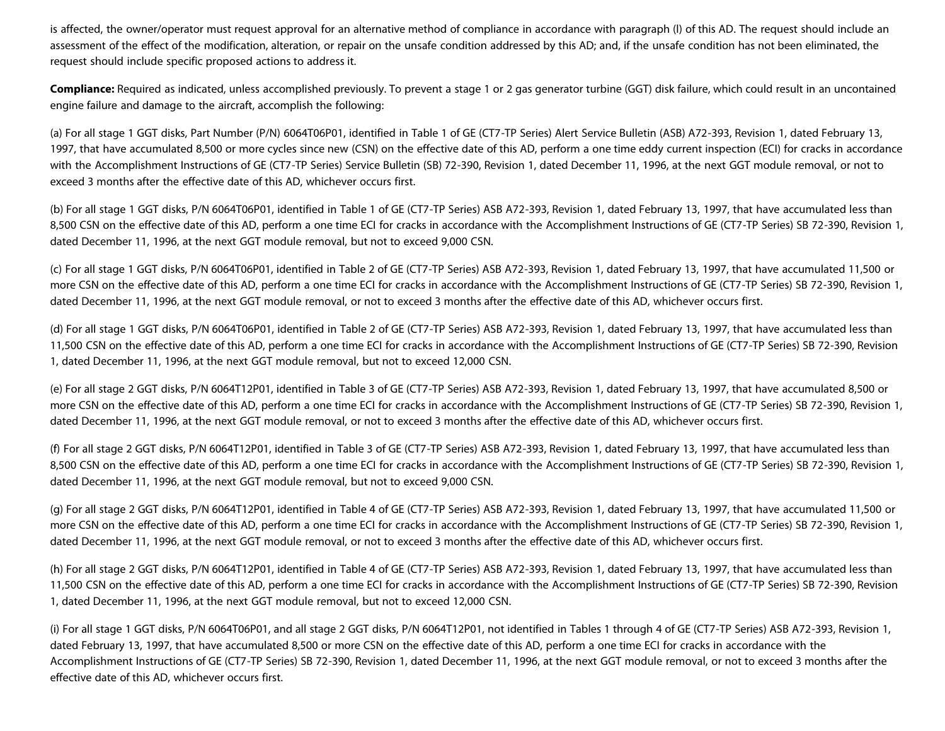is affected, the owner/operator must request approval for an alternative method of compliance in accordance with paragraph (l) of this AD. The request should include an assessment of the effect of the modification, alteration, or repair on the unsafe condition addressed by this AD; and, if the unsafe condition has not been eliminated, the request should include specific proposed actions to address it.

**Compliance:** Required as indicated, unless accomplished previously. To prevent a stage 1 or 2 gas generator turbine (GGT) disk failure, which could result in an uncontained engine failure and damage to the aircraft, accomplish the following:

(a) For all stage 1 GGT disks, Part Number (P/N) 6064T06P01, identified in Table 1 of GE (CT7-TP Series) Alert Service Bulletin (ASB) A72-393, Revision 1, dated February 13, 1997, that have accumulated 8,500 or more cycles since new (CSN) on the effective date of this AD, perform a one time eddy current inspection (ECI) for cracks in accordance with the Accomplishment Instructions of GE (CT7-TP Series) Service Bulletin (SB) 72-390, Revision 1, dated December 11, 1996, at the next GGT module removal, or not to exceed 3 months after the effective date of this AD, whichever occurs first.

(b) For all stage 1 GGT disks, P/N 6064T06P01, identified in Table 1 of GE (CT7-TP Series) ASB A72-393, Revision 1, dated February 13, 1997, that have accumulated less than 8,500 CSN on the effective date of this AD, perform a one time ECI for cracks in accordance with the Accomplishment Instructions of GE (CT7-TP Series) SB 72-390, Revision 1, dated December 11, 1996, at the next GGT module removal, but not to exceed 9,000 CSN.

(c) For all stage 1 GGT disks, P/N 6064T06P01, identified in Table 2 of GE (CT7-TP Series) ASB A72-393, Revision 1, dated February 13, 1997, that have accumulated 11,500 or more CSN on the effective date of this AD, perform a one time ECI for cracks in accordance with the Accomplishment Instructions of GE (CT7-TP Series) SB 72-390, Revision 1, dated December 11, 1996, at the next GGT module removal, or not to exceed 3 months after the effective date of this AD, whichever occurs first.

(d) For all stage 1 GGT disks, P/N 6064T06P01, identified in Table 2 of GE (CT7-TP Series) ASB A72-393, Revision 1, dated February 13, 1997, that have accumulated less than 11,500 CSN on the effective date of this AD, perform a one time ECI for cracks in accordance with the Accomplishment Instructions of GE (CT7-TP Series) SB 72-390, Revision 1, dated December 11, 1996, at the next GGT module removal, but not to exceed 12,000 CSN.

(e) For all stage 2 GGT disks, P/N 6064T12P01, identified in Table 3 of GE (CT7-TP Series) ASB A72-393, Revision 1, dated February 13, 1997, that have accumulated 8,500 or more CSN on the effective date of this AD, perform a one time ECI for cracks in accordance with the Accomplishment Instructions of GE (CT7-TP Series) SB 72-390, Revision 1, dated December 11, 1996, at the next GGT module removal, or not to exceed 3 months after the effective date of this AD, whichever occurs first.

(f) For all stage 2 GGT disks, P/N 6064T12P01, identified in Table 3 of GE (CT7-TP Series) ASB A72-393, Revision 1, dated February 13, 1997, that have accumulated less than 8,500 CSN on the effective date of this AD, perform a one time ECI for cracks in accordance with the Accomplishment Instructions of GE (CT7-TP Series) SB 72-390, Revision 1, dated December 11, 1996, at the next GGT module removal, but not to exceed 9,000 CSN.

(g) For all stage 2 GGT disks, P/N 6064T12P01, identified in Table 4 of GE (CT7-TP Series) ASB A72-393, Revision 1, dated February 13, 1997, that have accumulated 11,500 or more CSN on the effective date of this AD, perform a one time ECI for cracks in accordance with the Accomplishment Instructions of GE (CT7-TP Series) SB 72-390, Revision 1, dated December 11, 1996, at the next GGT module removal, or not to exceed 3 months after the effective date of this AD, whichever occurs first.

(h) For all stage 2 GGT disks, P/N 6064T12P01, identified in Table 4 of GE (CT7-TP Series) ASB A72-393, Revision 1, dated February 13, 1997, that have accumulated less than 11,500 CSN on the effective date of this AD, perform a one time ECI for cracks in accordance with the Accomplishment Instructions of GE (CT7-TP Series) SB 72-390, Revision 1, dated December 11, 1996, at the next GGT module removal, but not to exceed 12,000 CSN.

(i) For all stage 1 GGT disks, P/N 6064T06P01, and all stage 2 GGT disks, P/N 6064T12P01, not identified in Tables 1 through 4 of GE (CT7-TP Series) ASB A72-393, Revision 1, dated February 13, 1997, that have accumulated 8,500 or more CSN on the effective date of this AD, perform a one time ECI for cracks in accordance with the Accomplishment Instructions of GE (CT7-TP Series) SB 72-390, Revision 1, dated December 11, 1996, at the next GGT module removal, or not to exceed 3 months after the effective date of this AD, whichever occurs first.